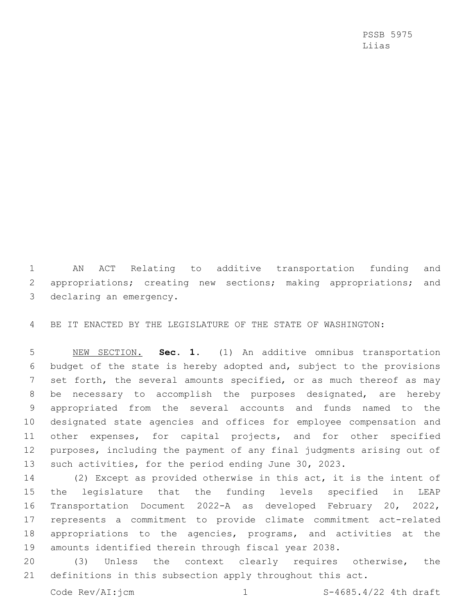PSSB 5975 Liias

 AN ACT Relating to additive transportation funding and 2 appropriations; creating new sections; making appropriations; and declaring an emergency.

BE IT ENACTED BY THE LEGISLATURE OF THE STATE OF WASHINGTON:

 NEW SECTION. **Sec. 1.** (1) An additive omnibus transportation budget of the state is hereby adopted and, subject to the provisions 7 set forth, the several amounts specified, or as much thereof as may be necessary to accomplish the purposes designated, are hereby appropriated from the several accounts and funds named to the designated state agencies and offices for employee compensation and other expenses, for capital projects, and for other specified purposes, including the payment of any final judgments arising out of such activities, for the period ending June 30, 2023.

 (2) Except as provided otherwise in this act, it is the intent of the legislature that the funding levels specified in LEAP Transportation Document 2022-A as developed February 20, 2022, represents a commitment to provide climate commitment act-related appropriations to the agencies, programs, and activities at the amounts identified therein through fiscal year 2038.

 (3) Unless the context clearly requires otherwise, the definitions in this subsection apply throughout this act.

Code Rev/AI: $jcm$  1 S-4685.4/22 4th draft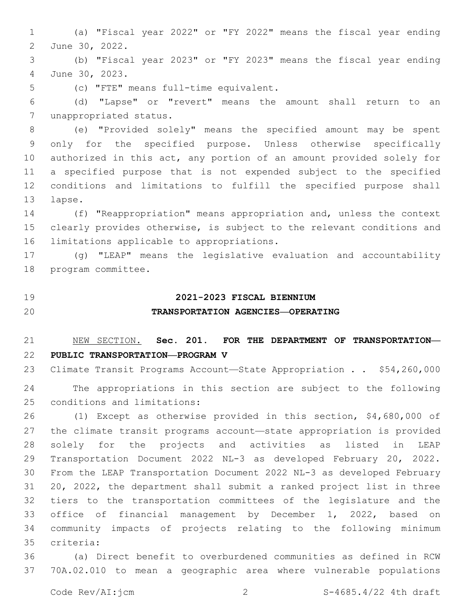(a) "Fiscal year 2022" or "FY 2022" means the fiscal year ending 2 June 30, 2022.

 (b) "Fiscal year 2023" or "FY 2023" means the fiscal year ending June 30, 2023.4

(c) "FTE" means full-time equivalent.5

 (d) "Lapse" or "revert" means the amount shall return to an 7 unappropriated status.

 (e) "Provided solely" means the specified amount may be spent only for the specified purpose. Unless otherwise specifically authorized in this act, any portion of an amount provided solely for a specified purpose that is not expended subject to the specified conditions and limitations to fulfill the specified purpose shall 13 lapse.

 (f) "Reappropriation" means appropriation and, unless the context clearly provides otherwise, is subject to the relevant conditions and 16 limitations applicable to appropriations.

 (g) "LEAP" means the legislative evaluation and accountability 18 program committee.

### **2021-2023 FISCAL BIENNIUM**

## **TRANSPORTATION AGENCIES—OPERATING**

# NEW SECTION. **Sec. 201. FOR THE DEPARTMENT OF TRANSPORTATION— PUBLIC TRANSPORTATION—PROGRAM V**

 Climate Transit Programs Account—State Appropriation . . \$54,260,000 The appropriations in this section are subject to the following 25 conditions and limitations:

 (1) Except as otherwise provided in this section, \$4,680,000 of the climate transit programs account—state appropriation is provided solely for the projects and activities as listed in LEAP Transportation Document 2022 NL-3 as developed February 20, 2022. From the LEAP Transportation Document 2022 NL-3 as developed February 20, 2022, the department shall submit a ranked project list in three tiers to the transportation committees of the legislature and the office of financial management by December 1, 2022, based on community impacts of projects relating to the following minimum criteria:35

 (a) Direct benefit to overburdened communities as defined in RCW 70A.02.010 to mean a geographic area where vulnerable populations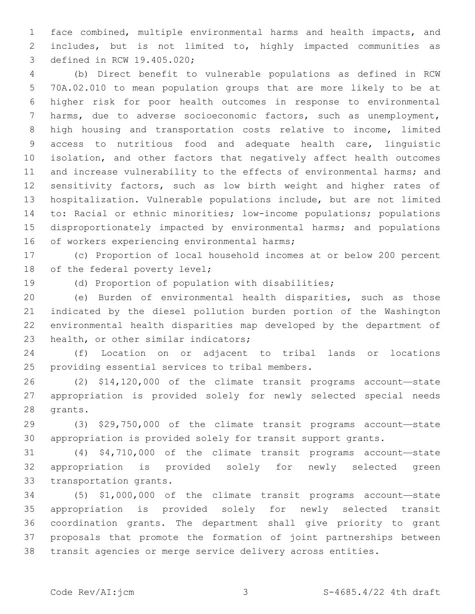face combined, multiple environmental harms and health impacts, and includes, but is not limited to, highly impacted communities as 3 defined in RCW 19.405.020;

 (b) Direct benefit to vulnerable populations as defined in RCW 70A.02.010 to mean population groups that are more likely to be at higher risk for poor health outcomes in response to environmental harms, due to adverse socioeconomic factors, such as unemployment, high housing and transportation costs relative to income, limited access to nutritious food and adequate health care, linguistic isolation, and other factors that negatively affect health outcomes 11 and increase vulnerability to the effects of environmental harms; and sensitivity factors, such as low birth weight and higher rates of hospitalization. Vulnerable populations include, but are not limited to: Racial or ethnic minorities; low-income populations; populations disproportionately impacted by environmental harms; and populations 16 of workers experiencing environmental harms;

 (c) Proportion of local household incomes at or below 200 percent 18 of the federal poverty level;

(d) Proportion of population with disabilities;

 (e) Burden of environmental health disparities, such as those indicated by the diesel pollution burden portion of the Washington environmental health disparities map developed by the department of 23 health, or other similar indicators;

 (f) Location on or adjacent to tribal lands or locations 25 providing essential services to tribal members.

 (2) \$14,120,000 of the climate transit programs account—state appropriation is provided solely for newly selected special needs 28 grants.

 (3) \$29,750,000 of the climate transit programs account—state appropriation is provided solely for transit support grants.

 (4) \$4,710,000 of the climate transit programs account—state appropriation is provided solely for newly selected green 33 transportation grants.

 (5) \$1,000,000 of the climate transit programs account—state appropriation is provided solely for newly selected transit coordination grants. The department shall give priority to grant proposals that promote the formation of joint partnerships between transit agencies or merge service delivery across entities.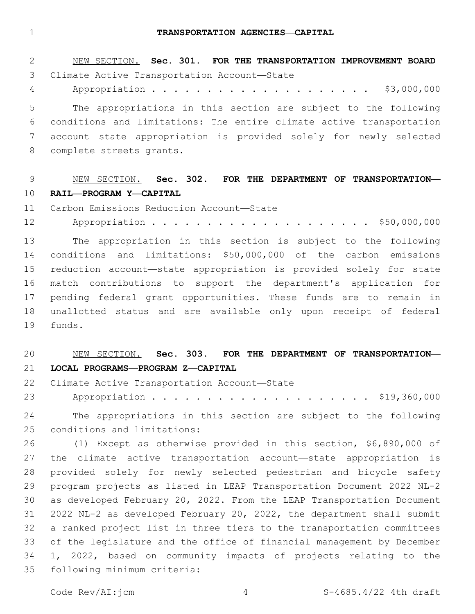#### **TRANSPORTATION AGENCIES—CAPITAL**

| 2  | NEW SECTION. Sec. 301. FOR THE TRANSPORTATION IMPROVEMENT BOARD      |
|----|----------------------------------------------------------------------|
| 3  | Climate Active Transportation Account-State                          |
| 4  | \$3,000,000                                                          |
| 5  | The appropriations in this section are subject to the following      |
| 6  | conditions and limitations: The entire climate active transportation |
| 7  | account-state appropriation is provided solely for newly selected    |
| 8  | complete streets grants.                                             |
|    |                                                                      |
| 9  | NEW SECTION. Sec. 302. FOR THE DEPARTMENT OF TRANSPORTATION-         |
| 10 | RAIL-PROGRAM Y-CAPITAL                                               |
| 11 | Carbon Emissions Reduction Account-State                             |
| 12 |                                                                      |
| 13 | The appropriation in this section is subject to the following        |
| 14 | conditions and limitations: \$50,000,000 of the carbon emissions     |
| 15 | reduction account-state appropriation is provided solely for state   |
| 16 | match contributions to support the department's application for      |
| 17 | pending federal grant opportunities. These funds are to remain in    |
| 18 | unallotted status and are available only upon receipt of federal     |
| 19 | funds.                                                               |
|    |                                                                      |

# NEW SECTION. **Sec. 303. FOR THE DEPARTMENT OF TRANSPORTATION— LOCAL PROGRAMS—PROGRAM Z—CAPITAL**

22 Climate Active Transportation Account-State

23 Appropriation . . . . . . . . . . . . . . . . . . \$19,360,000

 The appropriations in this section are subject to the following 25 conditions and limitations:

 (1) Except as otherwise provided in this section, \$6,890,000 of the climate active transportation account—state appropriation is provided solely for newly selected pedestrian and bicycle safety program projects as listed in LEAP Transportation Document 2022 NL-2 as developed February 20, 2022. From the LEAP Transportation Document 2022 NL-2 as developed February 20, 2022, the department shall submit a ranked project list in three tiers to the transportation committees of the legislature and the office of financial management by December 1, 2022, based on community impacts of projects relating to the 35 following minimum criteria: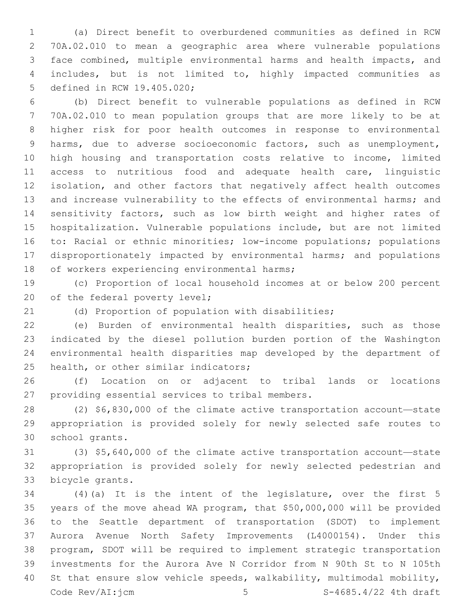(a) Direct benefit to overburdened communities as defined in RCW 70A.02.010 to mean a geographic area where vulnerable populations face combined, multiple environmental harms and health impacts, and includes, but is not limited to, highly impacted communities as 5 defined in RCW 19.405.020;

 (b) Direct benefit to vulnerable populations as defined in RCW 70A.02.010 to mean population groups that are more likely to be at higher risk for poor health outcomes in response to environmental harms, due to adverse socioeconomic factors, such as unemployment, high housing and transportation costs relative to income, limited access to nutritious food and adequate health care, linguistic isolation, and other factors that negatively affect health outcomes 13 and increase vulnerability to the effects of environmental harms; and sensitivity factors, such as low birth weight and higher rates of hospitalization. Vulnerable populations include, but are not limited to: Racial or ethnic minorities; low-income populations; populations disproportionately impacted by environmental harms; and populations 18 of workers experiencing environmental harms;

 (c) Proportion of local household incomes at or below 200 percent 20 of the federal poverty level;

(d) Proportion of population with disabilities;

 (e) Burden of environmental health disparities, such as those indicated by the diesel pollution burden portion of the Washington environmental health disparities map developed by the department of 25 health, or other similar indicators;

 (f) Location on or adjacent to tribal lands or locations 27 providing essential services to tribal members.

 (2) \$6,830,000 of the climate active transportation account—state appropriation is provided solely for newly selected safe routes to 30 school grants.

 (3) \$5,640,000 of the climate active transportation account—state appropriation is provided solely for newly selected pedestrian and 33 bicycle grants.

 (4)(a) It is the intent of the legislature, over the first 5 years of the move ahead WA program, that \$50,000,000 will be provided to the Seattle department of transportation (SDOT) to implement Aurora Avenue North Safety Improvements (L4000154). Under this program, SDOT will be required to implement strategic transportation investments for the Aurora Ave N Corridor from N 90th St to N 105th St that ensure slow vehicle speeds, walkability, multimodal mobility, Code Rev/AI: $\frac{1}{1}$ cm 5  $\frac{5}{10}$  S-4685.4/22 4th draft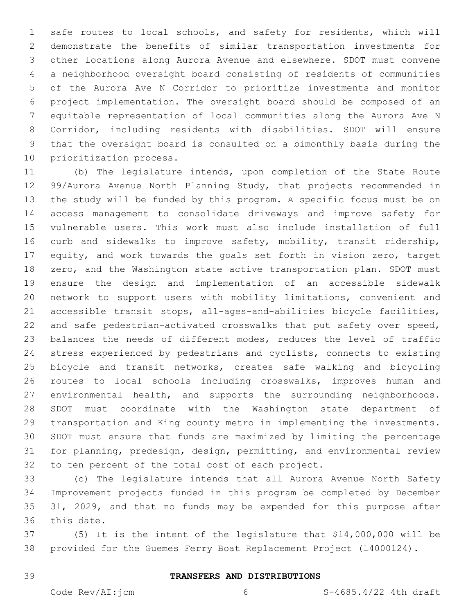safe routes to local schools, and safety for residents, which will demonstrate the benefits of similar transportation investments for other locations along Aurora Avenue and elsewhere. SDOT must convene a neighborhood oversight board consisting of residents of communities of the Aurora Ave N Corridor to prioritize investments and monitor project implementation. The oversight board should be composed of an equitable representation of local communities along the Aurora Ave N Corridor, including residents with disabilities. SDOT will ensure that the oversight board is consulted on a bimonthly basis during the 10 prioritization process.

 (b) The legislature intends, upon completion of the State Route 99/Aurora Avenue North Planning Study, that projects recommended in the study will be funded by this program. A specific focus must be on access management to consolidate driveways and improve safety for vulnerable users. This work must also include installation of full curb and sidewalks to improve safety, mobility, transit ridership, 17 equity, and work towards the goals set forth in vision zero, target zero, and the Washington state active transportation plan. SDOT must ensure the design and implementation of an accessible sidewalk network to support users with mobility limitations, convenient and accessible transit stops, all-ages-and-abilities bicycle facilities, and safe pedestrian-activated crosswalks that put safety over speed, balances the needs of different modes, reduces the level of traffic stress experienced by pedestrians and cyclists, connects to existing bicycle and transit networks, creates safe walking and bicycling routes to local schools including crosswalks, improves human and environmental health, and supports the surrounding neighborhoods. SDOT must coordinate with the Washington state department of transportation and King county metro in implementing the investments. SDOT must ensure that funds are maximized by limiting the percentage for planning, predesign, design, permitting, and environmental review 32 to ten percent of the total cost of each project.

 (c) The legislature intends that all Aurora Avenue North Safety Improvement projects funded in this program be completed by December 35 31, 2029, and that no funds may be expended for this purpose after 36 this date.

 (5) It is the intent of the legislature that \$14,000,000 will be provided for the Guemes Ferry Boat Replacement Project (L4000124).

### **TRANSFERS AND DISTRIBUTIONS**

Code Rev/AI:jcm 6 6 S-4685.4/22 4th draft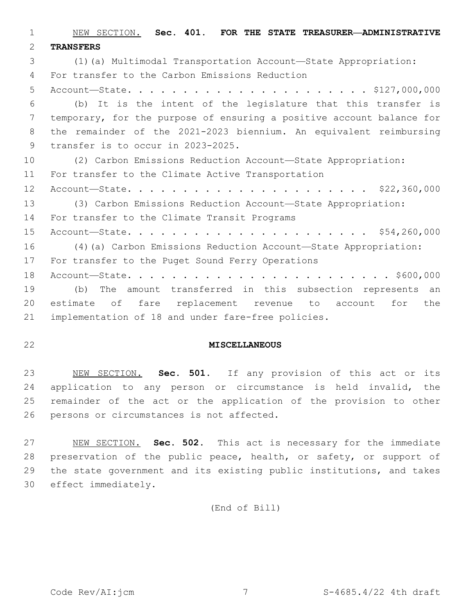NEW SECTION. **Sec. 401. FOR THE STATE TREASURER—ADMINISTRATIVE TRANSFERS** (1)(a) Multimodal Transportation Account—State Appropriation: For transfer to the Carbon Emissions Reduction4 Account—State. . . . . . . . . . . . . . . . . . . . . . \$127,000,000 (b) It is the intent of the legislature that this transfer is temporary, for the purpose of ensuring a positive account balance for the remainder of the 2021-2023 biennium. An equivalent reimbursing 9 transfer is to occur in 2023-2025. (2) Carbon Emissions Reduction Account—State Appropriation: 11 For transfer to the Climate Active Transportation Account—State. . . . . . . . . . . . . . . . . . . . . . \$22,360,000 (3) Carbon Emissions Reduction Account—State Appropriation: 14 For transfer to the Climate Transit Programs Account—State. . . . . . . . . . . . . . . . . . . . . . \$54,260,000 (4)(a) Carbon Emissions Reduction Account—State Appropriation: 17 For transfer to the Puget Sound Ferry Operations Account—State. . . . . . . . . . . . . . . . . . . . . . . . \$600,000 (b) The amount transferred in this subsection represents an estimate of fare replacement revenue to account for the implementation of 18 and under fare-free policies.

## **MISCELLANEOUS**

 NEW SECTION. **Sec. 501.** If any provision of this act or its application to any person or circumstance is held invalid, the remainder of the act or the application of the provision to other persons or circumstances is not affected.

 NEW SECTION. **Sec. 502.** This act is necessary for the immediate 28 preservation of the public peace, health, or safety, or support of the state government and its existing public institutions, and takes effect immediately.

(End of Bill)